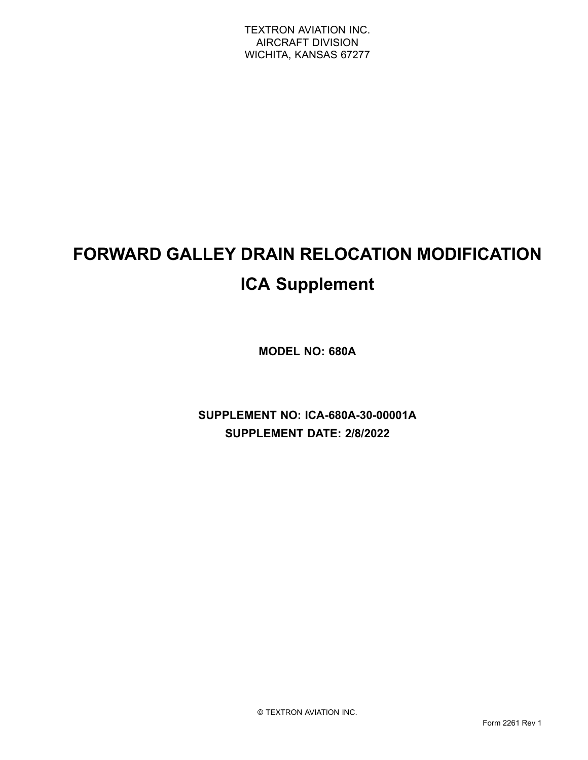# **FORWARD GALLEY DRAIN RELOCATION MODIFICATION ICA Supplement**

**MODEL NO: 680A**

**SUPPLEMENT NO: ICA-680A-30-00001A SUPPLEMENT DATE: 2/8/2022**

© TEXTRON AVIATION INC.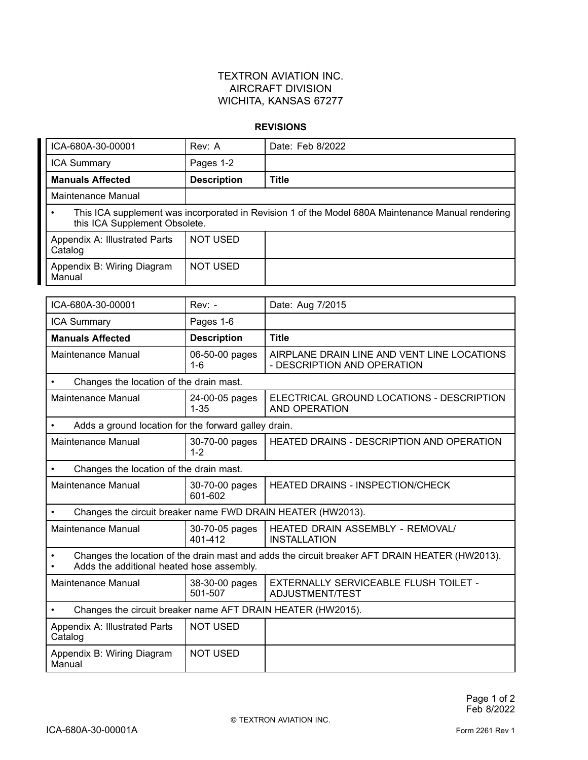#### **REVISIONS**

| ICA-680A-30-00001                                                                                                                  | Rev: A             | Date: Feb 8/2022 |
|------------------------------------------------------------------------------------------------------------------------------------|--------------------|------------------|
| <b>ICA Summary</b>                                                                                                                 | Pages 1-2          |                  |
| <b>Manuals Affected</b>                                                                                                            | <b>Description</b> | <b>Title</b>     |
| Maintenance Manual                                                                                                                 |                    |                  |
| This ICA supplement was incorporated in Revision 1 of the Model 680A Maintenance Manual rendering<br>this ICA Supplement Obsolete. |                    |                  |
| Appendix A: Illustrated Parts<br>Catalog                                                                                           | NOT USED           |                  |
| Appendix B: Wiring Diagram<br>Manual                                                                                               | <b>NOT USED</b>    |                  |

| ICA-680A-30-00001                                                                                                                                        | $Rev: -$                   | Date: Aug 7/2015                                                           |  |
|----------------------------------------------------------------------------------------------------------------------------------------------------------|----------------------------|----------------------------------------------------------------------------|--|
| <b>ICA Summary</b>                                                                                                                                       | Pages 1-6                  |                                                                            |  |
| <b>Manuals Affected</b>                                                                                                                                  | <b>Description</b>         | <b>Title</b>                                                               |  |
| <b>Maintenance Manual</b>                                                                                                                                | 06-50-00 pages<br>$1 - 6$  | AIRPLANE DRAIN LINE AND VENT LINE LOCATIONS<br>- DESCRIPTION AND OPERATION |  |
| Changes the location of the drain mast.<br>$\bullet$                                                                                                     |                            |                                                                            |  |
| <b>Maintenance Manual</b>                                                                                                                                | 24-00-05 pages<br>$1 - 35$ | ELECTRICAL GROUND LOCATIONS - DESCRIPTION<br><b>AND OPERATION</b>          |  |
| Adds a ground location for the forward galley drain.                                                                                                     |                            |                                                                            |  |
| <b>Maintenance Manual</b>                                                                                                                                | 30-70-00 pages<br>$1 - 2$  | HEATED DRAINS - DESCRIPTION AND OPERATION                                  |  |
| Changes the location of the drain mast.<br>$\bullet$                                                                                                     |                            |                                                                            |  |
| <b>Maintenance Manual</b>                                                                                                                                | 30-70-00 pages<br>601-602  | <b>HEATED DRAINS - INSPECTION/CHECK</b>                                    |  |
| Changes the circuit breaker name FWD DRAIN HEATER (HW2013).                                                                                              |                            |                                                                            |  |
| <b>Maintenance Manual</b>                                                                                                                                | 30-70-05 pages<br>401-412  | HEATED DRAIN ASSEMBLY - REMOVAL/<br><b>INSTALLATION</b>                    |  |
| Changes the location of the drain mast and adds the circuit breaker AFT DRAIN HEATER (HW2013).<br>$\bullet$<br>Adds the additional heated hose assembly. |                            |                                                                            |  |
| Maintenance Manual                                                                                                                                       | 38-30-00 pages<br>501-507  | EXTERNALLY SERVICEABLE FLUSH TOILET -<br>ADJUSTMENT/TEST                   |  |
| Changes the circuit breaker name AFT DRAIN HEATER (HW2015).<br>$\bullet$                                                                                 |                            |                                                                            |  |
| Appendix A: Illustrated Parts<br>Catalog                                                                                                                 | <b>NOT USED</b>            |                                                                            |  |
| Appendix B: Wiring Diagram<br>Manual                                                                                                                     | <b>NOT USED</b>            |                                                                            |  |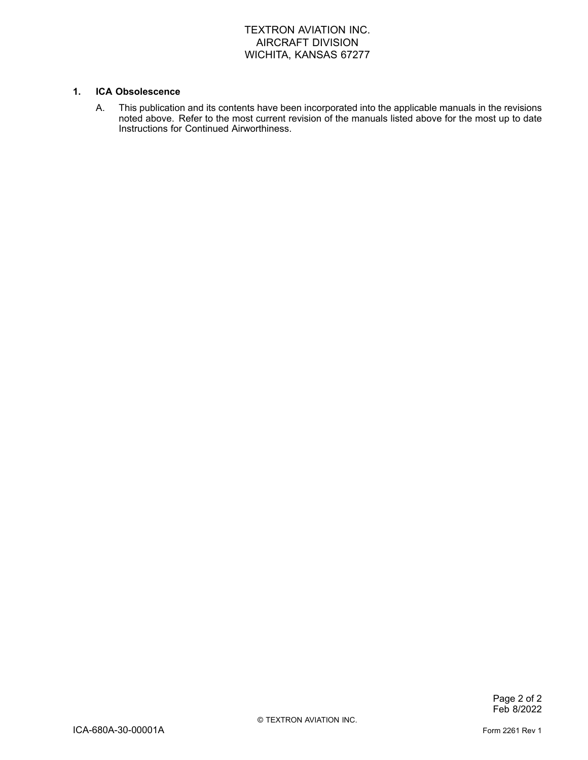#### **1. ICA Obsolescence**

A. This publication and its contents have been incorporated into the applicable manuals in the revisions noted above. Refer to the most current revision of the manuals listed above for the most up to date Instructions for Continued Airworthiness.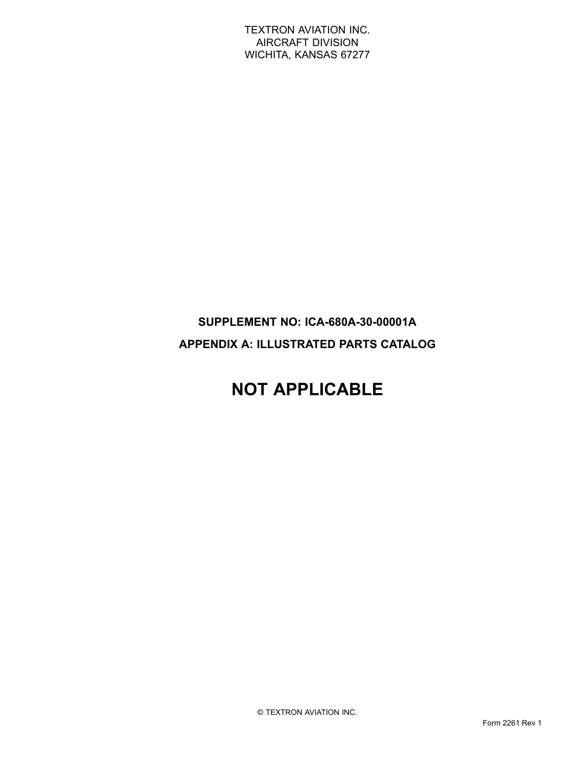### **SUPPLEMENT NO: ICA-680A-30-00001A APPENDIX A: ILLUSTRATED PARTS CATALOG**

# **NOT APPLICABLE**